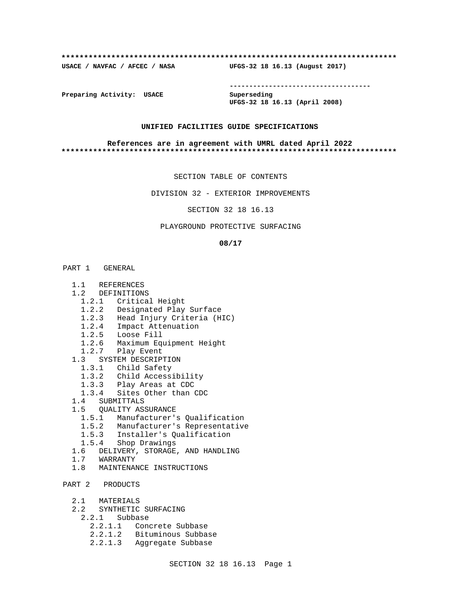#### **\*\*\*\*\*\*\*\*\*\*\*\*\*\*\*\*\*\*\*\*\*\*\*\*\*\*\*\*\*\*\*\*\*\*\*\*\*\*\*\*\*\*\*\*\*\*\*\*\*\*\*\*\*\*\*\*\*\*\*\*\*\*\*\*\*\*\*\*\*\*\*\*\*\***

**USACE / NAVFAC / AFCEC / NASA UFGS-32 18 16.13 (August 2017)**

**------------------------------------**

**Preparing Activity: USACE Superseding**

**UFGS-32 18 16.13 (April 2008)**

### **UNIFIED FACILITIES GUIDE SPECIFICATIONS**

#### **References are in agreement with UMRL dated April 2022 \*\*\*\*\*\*\*\*\*\*\*\*\*\*\*\*\*\*\*\*\*\*\*\*\*\*\*\*\*\*\*\*\*\*\*\*\*\*\*\*\*\*\*\*\*\*\*\*\*\*\*\*\*\*\*\*\*\*\*\*\*\*\*\*\*\*\*\*\*\*\*\*\*\***

SECTION TABLE OF CONTENTS

DIVISION 32 - EXTERIOR IMPROVEMENTS

SECTION 32 18 16.13

## PLAYGROUND PROTECTIVE SURFACING

#### **08/17**

# PART 1 GENERAL

- 1.1 REFERENCES
- 1.2 DEFINITIONS
	- 1.2.1 Critical Height
	- 1.2.2 Designated Play Surface
	- 1.2.3 Head Injury Criteria (HIC)
- 1.2.4 Impact Attenuation
- 1.2.5 Loose Fill
- 1.2.6 Maximum Equipment Height
- 1.2.7 Play Event
	- 1.3 SYSTEM DESCRIPTION
		- 1.3.1 Child Safety
		- 1.3.2 Child Accessibility
		- 1.3.3 Play Areas at CDC
		- 1.3.4 Sites Other than CDC
	- 1.4 SUBMITTALS
	- 1.5 QUALITY ASSURANCE
		- 1.5.1 Manufacturer's Qualification
		- 1.5.2 Manufacturer's Representative
		- 1.5.3 Installer's Qualification
		- 1.5.4 Shop Drawings
	- 1.6 DELIVERY, STORAGE, AND HANDLING
	- 1.7 WARRANTY
	- 1.8 MAINTENANCE INSTRUCTIONS
- PART 2 PRODUCTS
	- 2.1 MATERIALS
	- 2.2 SYNTHETIC SURFACING
		- 2.2.1 Subbase
			- 2.2.1.1 Concrete Subbase
			- 2.2.1.2 Bituminous Subbase
			- 2.2.1.3 Aggregate Subbase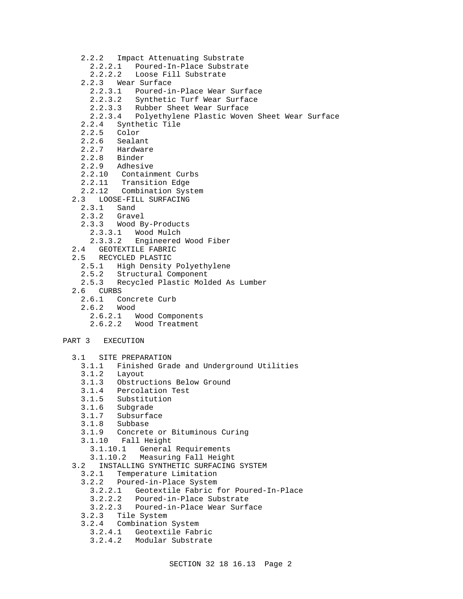- 2.2.2 Impact Attenuating Substrate
	- 2.2.2.1 Poured-In-Place Substrate
	- 2.2.2.2 Loose Fill Substrate
- 2.2.3 Wear Surface
	- 2.2.3.1 Poured-in-Place Wear Surface
	- 2.2.3.2 Synthetic Turf Wear Surface
	- 2.2.3.3 Rubber Sheet Wear Surface
	- 2.2.3.4 Polyethylene Plastic Woven Sheet Wear Surface
- 2.2.4 Synthetic Tile
- Color
- 2.2.6 Sealant
- 2.2.7 Hardware
- 2.2.8 Binder
- 2.2.9 Adhesive
- 2.2.10 Containment Curbs
- 2.2.11 Transition Edge
- 2.2.12 Combination System
- 2.3 LOOSE-FILL SURFACING
	- 2.3.1 Sand
	- 2.3.2 Gravel
	- 2.3.3 Wood By-Products
	- 2.3.3.1 Wood Mulch
	- 2.3.3.2 Engineered Wood Fiber
- 2.4 GEOTEXTILE FABRIC
- 2.5 RECYCLED PLASTIC
- 2.5.1 High Density Polyethylene<br>2.5.2 Structural Component
- 2.5.2 Structural Component<br>2.5.3 Recycled Plastic Mole
- 2.5.3 Recycled Plastic Molded As Lumber
- 2.6 CURBS<br>2.6.1 C
	- Concrete Curb
	- 2.6.2 Wood
		- 2.6.2.1 Wood Components
		- 2.6.2.2 Wood Treatment

# PART 3 EXECUTION

- 3.1 SITE PREPARATION
	- 3.1.1 Finished Grade and Underground Utilities
	- Layout
	- 3.1.3 Obstructions Below Ground
	- 3.1.4 Percolation Test
	- 3.1.5 Substitution
	- 3.1.6 Subgrade
	- 3.1.7 Subsurface<br>3.1.8 Subbase
	- 3.1.8 Subbase
	- 3.1.9 Concrete or Bituminous Curing
	- 3.1.10 Fall Height
		- 3.1.10.1 General Requirements
		- 3.1.10.2 Measuring Fall Height
- 3.2 INSTALLING SYNTHETIC SURFACING SYSTEM
	- Temperature Limitation
	- 3.2.2 Poured-in-Place System
		- 3.2.2.1 Geotextile Fabric for Poured-In-Place
		- 3.2.2.2 Poured-in-Place Substrate
	- 3.2.2.3 Poured-in-Place Wear Surface
	- Tile System
	- 3.2.4 Combination System
		- 3.2.4.1 Geotextile Fabric
		- 3.2.4.2 Modular Substrate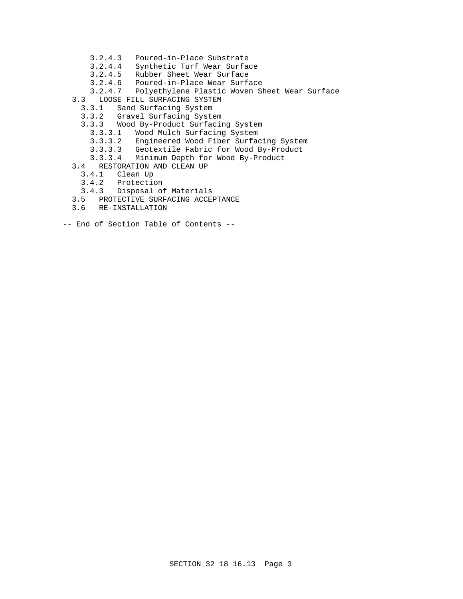- 3.2.4.3 Poured-in-Place Substrate
- 3.2.4.4 Synthetic Turf Wear Surface
- 3.2.4.5 Rubber Sheet Wear Surface
- 3.2.4.6 Poured-in-Place Wear Surface
- 3.2.4.7 Polyethylene Plastic Woven Sheet Wear Surface
- 3.3 LOOSE FILL SURFACING SYSTEM
	- 3.3.1 Sand Surfacing System
	- 3.3.2 Gravel Surfacing System
	- 3.3.3 Wood By-Product Surfacing System
		- 3.3.3.1 Wood Mulch Surfacing System
		- 3.3.3.2 Engineered Wood Fiber Surfacing System
		- 3.3.3.3 Geotextile Fabric for Wood By-Product
		- 3.3.3.4 Minimum Depth for Wood By-Product
- 3.4 RESTORATION AND CLEAN UP
	- Clean Up
	- 3.4.2 Protection
	- 3.4.3 Disposal of Materials
- 3.5 PROTECTIVE SURFACING ACCEPTANCE
- 3.6 RE-INSTALLATION
- -- End of Section Table of Contents --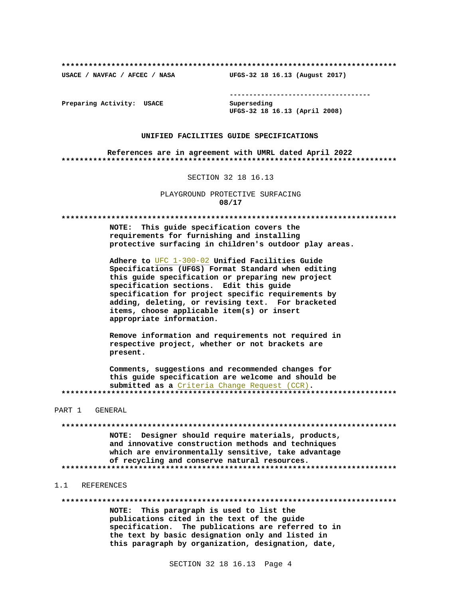USACE / NAVFAC / AFCEC / NASA

--------------------------------------

Preparing Activity: USACE

Superseding UFGS-32 18 16.13 (April 2008)

UFGS-32 18 16.13 (August 2017)

#### UNIFIED FACILITIES GUIDE SPECIFICATIONS

References are in agreement with UMRL dated April 2022 

SECTION 32 18 16.13

PLAYGROUND PROTECTIVE SURFACING 08/17

NOTE: This guide specification covers the requirements for furnishing and installing protective surfacing in children's outdoor play areas.

Adhere to UFC 1-300-02 Unified Facilities Guide Specifications (UFGS) Format Standard when editing this quide specification or preparing new project specification sections. Edit this guide specification for project specific requirements by adding, deleting, or revising text. For bracketed items, choose applicable item(s) or insert appropriate information.

Remove information and requirements not required in respective project, whether or not brackets are present.

Comments, suggestions and recommended changes for this quide specification are welcome and should be submitted as a Criteria Change Request (CCR). 

PART 1 GENERAL

NOTE: Designer should require materials, products, and innovative construction methods and techniques which are environmentally sensitive, take advantage of recycling and conserve natural resources. 

#### $1.1$ REFERENCES

NOTE: This paragraph is used to list the publications cited in the text of the guide specification. The publications are referred to in the text by basic designation only and listed in this paragraph by organization, designation, date,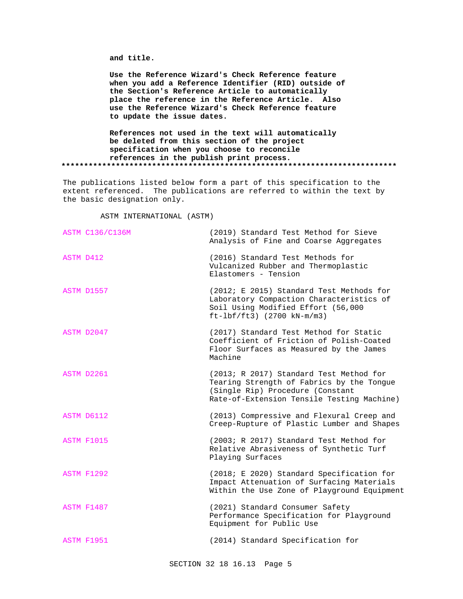**and title.**

**Use the Reference Wizard's Check Reference feature when you add a Reference Identifier (RID) outside of the Section's Reference Article to automatically place the reference in the Reference Article. Also use the Reference Wizard's Check Reference feature to update the issue dates.**

**References not used in the text will automatically be deleted from this section of the project specification when you choose to reconcile references in the publish print process. \*\*\*\*\*\*\*\*\*\*\*\*\*\*\*\*\*\*\*\*\*\*\*\*\*\*\*\*\*\*\*\*\*\*\*\*\*\*\*\*\*\*\*\*\*\*\*\*\*\*\*\*\*\*\*\*\*\*\*\*\*\*\*\*\*\*\*\*\*\*\*\*\*\***

The publications listed below form a part of this specification to the extent referenced. The publications are referred to within the text by the basic designation only.

ASTM INTERNATIONAL (ASTM)

| <b>ASTM C136/C136M</b> | (2019) Standard Test Method for Sieve<br>Analysis of Fine and Coarse Aggregates                                                                                        |
|------------------------|------------------------------------------------------------------------------------------------------------------------------------------------------------------------|
| ASTM D412              | (2016) Standard Test Methods for<br>Vulcanized Rubber and Thermoplastic<br>Elastomers - Tension                                                                        |
| ASTM D1557             | (2012; E 2015) Standard Test Methods for<br>Laboratory Compaction Characteristics of<br>Soil Using Modified Effort (56,000<br>$ft-lbf/ft3)$ (2700 kN-m/m3)             |
| ASTM D2047             | (2017) Standard Test Method for Static<br>Coefficient of Friction of Polish-Coated<br>Floor Surfaces as Measured by the James<br>Machine                               |
| ASTM D2261             | (2013; R 2017) Standard Test Method for<br>Tearing Strength of Fabrics by the Tongue<br>(Single Rip) Procedure (Constant<br>Rate-of-Extension Tensile Testing Machine) |
| ASTM D6112             | (2013) Compressive and Flexural Creep and<br>Creep-Rupture of Plastic Lumber and Shapes                                                                                |
| <b>ASTM F1015</b>      | (2003; R 2017) Standard Test Method for<br>Relative Abrasiveness of Synthetic Turf<br>Playing Surfaces                                                                 |
| <b>ASTM F1292</b>      | (2018; E 2020) Standard Specification for<br>Impact Attenuation of Surfacing Materials<br>Within the Use Zone of Playground Equipment                                  |
| <b>ASTM F1487</b>      | (2021) Standard Consumer Safety<br>Performance Specification for Playground<br>Equipment for Public Use                                                                |
| ASTM F1951             | (2014) Standard Specification for                                                                                                                                      |
|                        |                                                                                                                                                                        |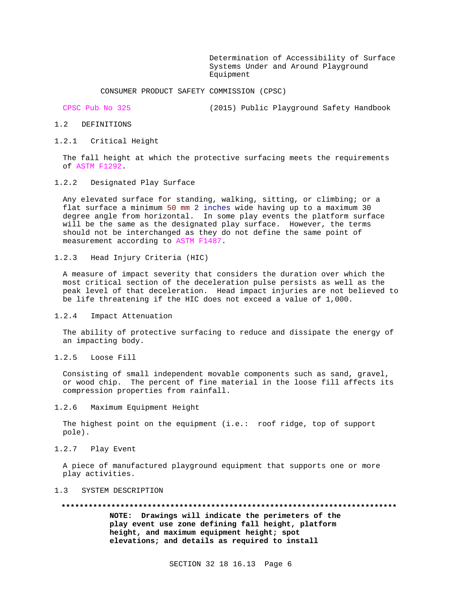Determination of Accessibility of Surface Systems Under and Around Playground Equipment

CONSUMER PRODUCT SAFETY COMMISSION (CPSC)

CPSC Pub No 325 (2015) Public Playground Safety Handbook

- 1.2 DEFINITIONS
- 1.2.1 Critical Height

The fall height at which the protective surfacing meets the requirements of ASTM F1292.

1.2.2 Designated Play Surface

Any elevated surface for standing, walking, sitting, or climbing; or a flat surface a minimum 50 mm 2 inches wide having up to a maximum 30 degree angle from horizontal. In some play events the platform surface will be the same as the designated play surface. However, the terms should not be interchanged as they do not define the same point of measurement according to ASTM F1487.

1.2.3 Head Injury Criteria (HIC)

A measure of impact severity that considers the duration over which the most critical section of the deceleration pulse persists as well as the peak level of that deceleration. Head impact injuries are not believed to be life threatening if the HIC does not exceed a value of 1,000.

1.2.4 Impact Attenuation

The ability of protective surfacing to reduce and dissipate the energy of an impacting body.

1.2.5 Loose Fill

Consisting of small independent movable components such as sand, gravel, or wood chip. The percent of fine material in the loose fill affects its compression properties from rainfall.

1.2.6 Maximum Equipment Height

The highest point on the equipment (i.e.: roof ridge, top of support pole).

1.2.7 Play Event

A piece of manufactured playground equipment that supports one or more play activities.

- 1.3 SYSTEM DESCRIPTION
	- **\*\*\*\*\*\*\*\*\*\*\*\*\*\*\*\*\*\*\*\*\*\*\*\*\*\*\*\*\*\*\*\*\*\*\*\*\*\*\*\*\*\*\*\*\*\*\*\*\*\*\*\*\*\*\*\*\*\*\*\*\*\*\*\*\*\*\*\*\*\*\*\*\*\***

**NOTE: Drawings will indicate the perimeters of the play event use zone defining fall height, platform height, and maximum equipment height; spot elevations; and details as required to install**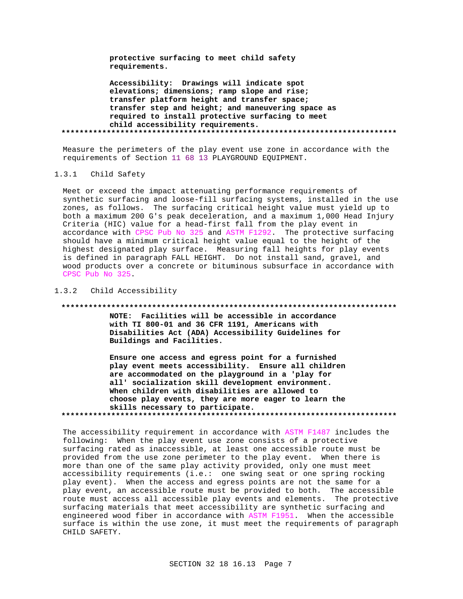protective surfacing to meet child safety requirements.

Accessibility: Drawings will indicate spot elevations; dimensions; ramp slope and rise; transfer platform height and transfer space; transfer step and height; and maneuvering space as required to install protective surfacing to meet child accessibility requirements. 

Measure the perimeters of the play event use zone in accordance with the requirements of Section 11 68 13 PLAYGROUND EOUIPMENT.

#### $1.3.1$ Child Safety

Meet or exceed the impact attenuating performance requirements of synthetic surfacing and loose-fill surfacing systems, installed in the use zones, as follows. The surfacing critical height value must yield up to both a maximum 200 G's peak deceleration, and a maximum 1,000 Head Injury Criteria (HIC) value for a head-first fall from the play event in accordance with CPSC Pub No 325 and ASTM F1292. The protective surfacing should have a minimum critical height value equal to the height of the highest designated play surface. Measuring fall heights for play events is defined in paragraph FALL HEIGHT. Do not install sand, gravel, and wood products over a concrete or bituminous subsurface in accordance with CPSC Pub No 325.

#### 1.3.2 Child Accessibility

#### 

NOTE: Facilities will be accessible in accordance with TI 800-01 and 36 CFR 1191, Americans with Disabilities Act (ADA) Accessibility Guidelines for Buildings and Facilities.

Ensure one access and egress point for a furnished play event meets accessibility. Ensure all children are accommodated on the playground in a 'play for all' socialization skill development environment. When children with disabilities are allowed to choose play events, they are more eager to learn the skills necessary to participate. 

The accessibility requirement in accordance with ASTM F1487 includes the following: When the play event use zone consists of a protective surfacing rated as inaccessible, at least one accessible route must be provided from the use zone perimeter to the play event. When there is more than one of the same play activity provided, only one must meet accessibility requirements (i.e.: one swing seat or one spring rocking play event). When the access and egress points are not the same for a play event, an accessible route must be provided to both. The accessible route must access all accessible play events and elements. The protective surfacing materials that meet accessibility are synthetic surfacing and engineered wood fiber in accordance with ASTM F1951. When the accessible surface is within the use zone, it must meet the requirements of paragraph CHILD SAFETY.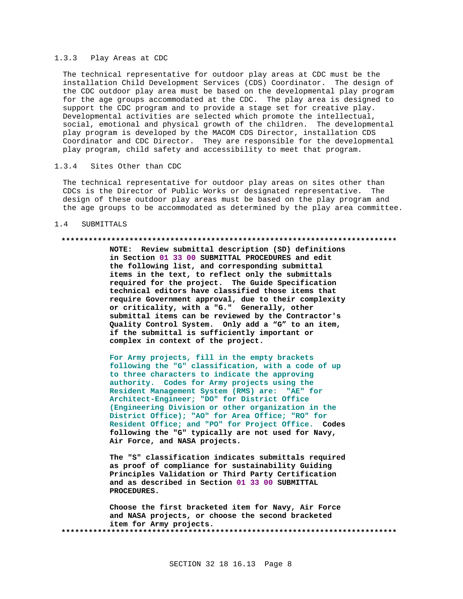### 1.3.3 Play Areas at CDC

The technical representative for outdoor play areas at CDC must be the installation Child Development Services (CDS) Coordinator. The design of the CDC outdoor play area must be based on the developmental play program for the age groups accommodated at the CDC. The play area is designed to support the CDC program and to provide a stage set for creative play. Developmental activities are selected which promote the intellectual, social, emotional and physical growth of the children. The developmental play program is developed by the MACOM CDS Director, installation CDS Coordinator and CDC Director. They are responsible for the developmental play program, child safety and accessibility to meet that program.

#### $1.3.4$ Sites Other than CDC

The technical representative for outdoor play areas on sites other than CDCs is the Director of Public Works or designated representative. The design of these outdoor play areas must be based on the play program and the age groups to be accommodated as determined by the play area committee.

#### $1.4$ SUBMITTALS

## 

NOTE: Review submittal description (SD) definitions in Section 01 33 00 SUBMITTAL PROCEDURES and edit the following list, and corresponding submittal items in the text, to reflect only the submittals required for the project. The Guide Specification technical editors have classified those items that require Government approval, due to their complexity or criticality, with a "G." Generally, other submittal items can be reviewed by the Contractor's Quality Control System. Only add a "G" to an item, if the submittal is sufficiently important or complex in context of the project.

For Army projects, fill in the empty brackets following the "G" classification, with a code of up to three characters to indicate the approving authority. Codes for Army projects using the Resident Management System (RMS) are: "AE" for Architect-Engineer; "DO" for District Office (Engineering Division or other organization in the District Office); "AO" for Area Office; "RO" for Resident Office; and "PO" for Project Office. Codes following the "G" typically are not used for Navy, Air Force, and NASA projects.

The "S" classification indicates submittals required as proof of compliance for sustainability Guiding Principles Validation or Third Party Certification and as described in Section 01 33 00 SUBMITTAL PROCEDURES.

Choose the first bracketed item for Navy, Air Force and NASA projects, or choose the second bracketed item for Army projects.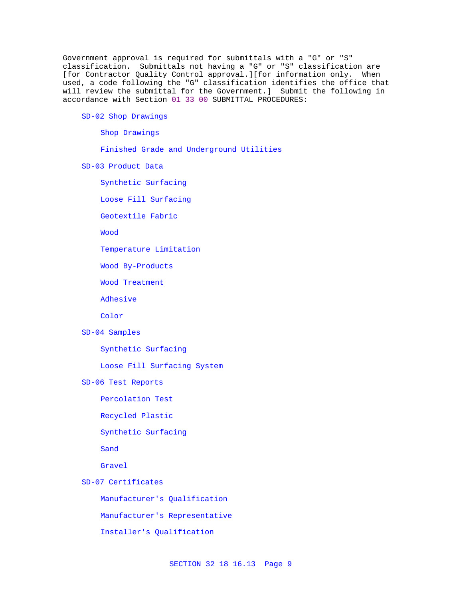Government approval is required for submittals with a "G" or "S" classification. Submittals not having a "G" or "S" classification are [for Contractor Quality Control approval.][for information only. When used, a code following the "G" classification identifies the office that will review the submittal for the Government.] Submit the following in accordance with Section 01 33 00 SUBMITTAL PROCEDURES:

# SD-02 Shop Drawings

Shop Drawings

Finished Grade and Underground Utilities

SD-03 Product Data

Synthetic Surfacing

Loose Fill Surfacing

Geotextile Fabric

Wood

Temperature Limitation

Wood By-Products

Wood Treatment

Adhesive

Color

# SD-04 Samples

Synthetic Surfacing

Loose Fill Surfacing System

SD-06 Test Reports

Percolation Test

Recycled Plastic

Synthetic Surfacing

Sand

Gravel

SD-07 Certificates

Manufacturer's Qualification

Manufacturer's Representative

Installer's Qualification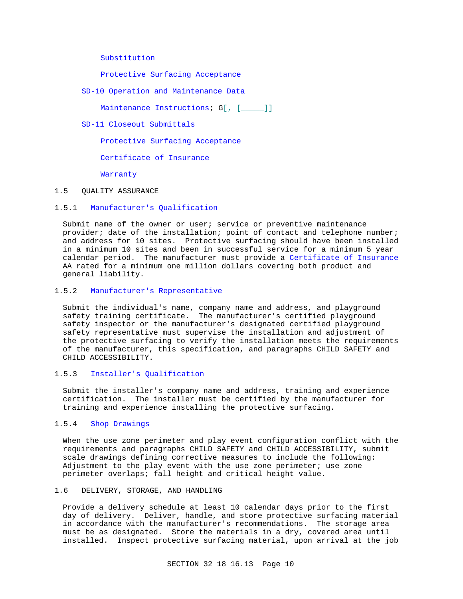Substitution

Protective Surfacing Acceptance

SD-10 Operation and Maintenance Data

Maintenance Instructions; G[, [ \_\_\_\_]]

SD-11 Closeout Submittals

Protective Surfacing Acceptance

Certificate of Insurance

Warranty

#### 1.5 QUALITY ASSURANCE

### 1.5.1 Manufacturer's Qualification

Submit name of the owner or user; service or preventive maintenance provider; date of the installation; point of contact and telephone number; and address for 10 sites. Protective surfacing should have been installed in a minimum 10 sites and been in successful service for a minimum 5 year calendar period. The manufacturer must provide a Certificate of Insurance AA rated for a minimum one million dollars covering both product and general liability.

## 1.5.2 Manufacturer's Representative

Submit the individual's name, company name and address, and playground safety training certificate. The manufacturer's certified playground safety inspector or the manufacturer's designated certified playground safety representative must supervise the installation and adjustment of the protective surfacing to verify the installation meets the requirements of the manufacturer, this specification, and paragraphs CHILD SAFETY and CHILD ACCESSIBILITY.

# 1.5.3 Installer's Qualification

Submit the installer's company name and address, training and experience certification. The installer must be certified by the manufacturer for training and experience installing the protective surfacing.

# 1.5.4 Shop Drawings

When the use zone perimeter and play event configuration conflict with the requirements and paragraphs CHILD SAFETY and CHILD ACCESSIBILITY, submit scale drawings defining corrective measures to include the following: Adjustment to the play event with the use zone perimeter; use zone perimeter overlaps; fall height and critical height value.

### 1.6 DELIVERY, STORAGE, AND HANDLING

Provide a delivery schedule at least 10 calendar days prior to the first day of delivery. Deliver, handle, and store protective surfacing material in accordance with the manufacturer's recommendations. The storage area must be as designated. Store the materials in a dry, covered area until installed. Inspect protective surfacing material, upon arrival at the job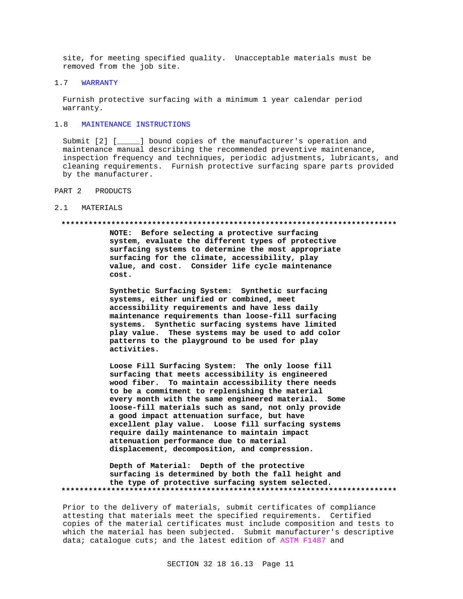site, for meeting specified quality. Unacceptable materials must be removed from the job site.

#### 1.7 WARRANTY

Furnish protective surfacing with a minimum 1 year calendar period warranty.

# 1.8 MAINTENANCE INSTRUCTIONS

Submit [2] [\_\_\_\_\_] bound copies of the manufacturer's operation and maintenance manual describing the recommended preventive maintenance, inspection frequency and techniques, periodic adjustments, lubricants, and cleaning requirements. Furnish protective surfacing spare parts provided by the manufacturer.

PART 2 PRODUCTS

#### 2.1 MATERIALS

#### **\*\*\*\*\*\*\*\*\*\*\*\*\*\*\*\*\*\*\*\*\*\*\*\*\*\*\*\*\*\*\*\*\*\*\*\*\*\*\*\*\*\*\*\*\*\*\*\*\*\*\*\*\*\*\*\*\*\*\*\*\*\*\*\*\*\*\*\*\*\*\*\*\*\***

**NOTE: Before selecting a protective surfacing system, evaluate the different types of protective surfacing systems to determine the most appropriate surfacing for the climate, accessibility, play value, and cost. Consider life cycle maintenance cost.**

**Synthetic Surfacing System: Synthetic surfacing systems, either unified or combined, meet accessibility requirements and have less daily maintenance requirements than loose-fill surfacing systems. Synthetic surfacing systems have limited play value. These systems may be used to add color patterns to the playground to be used for play activities.**

**Loose Fill Surfacing System: The only loose fill surfacing that meets accessibility is engineered wood fiber. To maintain accessibility there needs to be a commitment to replenishing the material every month with the same engineered material. Some loose-fill materials such as sand, not only provide a good impact attenuation surface, but have excellent play value. Loose fill surfacing systems require daily maintenance to maintain impact attenuation performance due to material displacement, decomposition, and compression.**

**Depth of Material: Depth of the protective surfacing is determined by both the fall height and the type of protective surfacing system selected. \*\*\*\*\*\*\*\*\*\*\*\*\*\*\*\*\*\*\*\*\*\*\*\*\*\*\*\*\*\*\*\*\*\*\*\*\*\*\*\*\*\*\*\*\*\*\*\*\*\*\*\*\*\*\*\*\*\*\*\*\*\*\*\*\*\*\*\*\*\*\*\*\*\***

Prior to the delivery of materials, submit certificates of compliance attesting that materials meet the specified requirements. Certified copies of the material certificates must include composition and tests to which the material has been subjected. Submit manufacturer's descriptive data; catalogue cuts; and the latest edition of ASTM F1487 and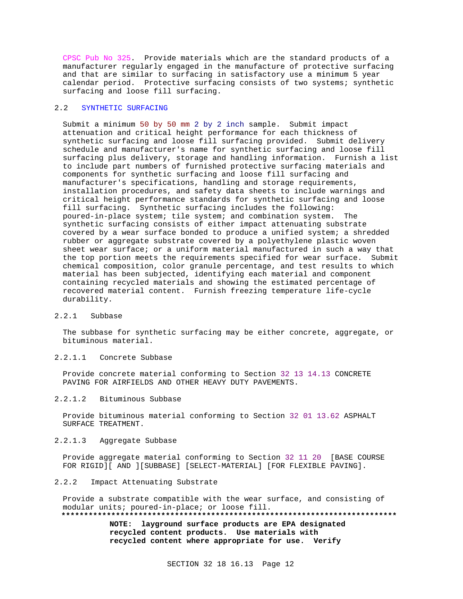CPSC Pub No 325. Provide materials which are the standard products of a manufacturer regularly engaged in the manufacture of protective surfacing and that are similar to surfacing in satisfactory use a minimum 5 year calendar period. Protective surfacing consists of two systems; synthetic surfacing and loose fill surfacing.

### 2.2 SYNTHETIC SURFACING

Submit a minimum 50 by 50 mm 2 by 2 inch sample. Submit impact attenuation and critical height performance for each thickness of synthetic surfacing and loose fill surfacing provided. Submit delivery schedule and manufacturer's name for synthetic surfacing and loose fill surfacing plus delivery, storage and handling information. Furnish a list to include part numbers of furnished protective surfacing materials and components for synthetic surfacing and loose fill surfacing and manufacturer's specifications, handling and storage requirements, installation procedures, and safety data sheets to include warnings and critical height performance standards for synthetic surfacing and loose fill surfacing. Synthetic surfacing includes the following: poured-in-place system; tile system; and combination system. The synthetic surfacing consists of either impact attenuating substrate covered by a wear surface bonded to produce a unified system; a shredded rubber or aggregate substrate covered by a polyethylene plastic woven sheet wear surface; or a uniform material manufactured in such a way that the top portion meets the requirements specified for wear surface. Submit chemical composition, color granule percentage, and test results to which material has been subjected, identifying each material and component containing recycled materials and showing the estimated percentage of recovered material content. Furnish freezing temperature life-cycle durability.

#### 2.2.1 Subbase

The subbase for synthetic surfacing may be either concrete, aggregate, or bituminous material.

#### 2.2.1.1 Concrete Subbase

Provide concrete material conforming to Section 32 13 14.13 CONCRETE PAVING FOR AIRFIELDS AND OTHER HEAVY DUTY PAVEMENTS.

#### 2.2.1.2 Bituminous Subbase

Provide bituminous material conforming to Section 32 01 13.62 ASPHALT SURFACE TREATMENT.

#### 2.2.1.3 Aggregate Subbase

Provide aggregate material conforming to Section 32 11 20 [BASE COURSE FOR RIGID][ AND ][SUBBASE] [SELECT-MATERIAL] [FOR FLEXIBLE PAVING].

# 2.2.2 Impact Attenuating Substrate

Provide a substrate compatible with the wear surface, and consisting of modular units; poured-in-place; or loose fill. **\*\*\*\*\*\*\*\*\*\*\*\*\*\*\*\*\*\*\*\*\*\*\*\*\*\*\*\*\*\*\*\*\*\*\*\*\*\*\*\*\*\*\*\*\*\*\*\*\*\*\*\*\*\*\*\*\*\*\*\*\*\*\*\*\*\*\*\*\*\*\*\*\*\* NOTE: layground surface products are EPA designated**

**recycled content products. Use materials with recycled content where appropriate for use. Verify**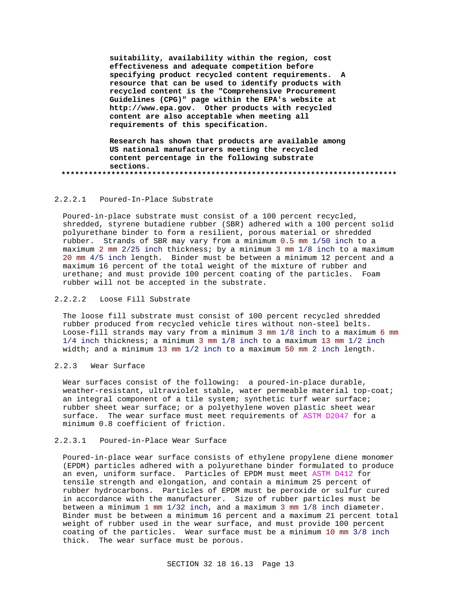**suitability, availability within the region, cost effectiveness and adequate competition before specifying product recycled content requirements. A resource that can be used to identify products with recycled content is the "Comprehensive Procurement Guidelines (CPG)" page within the EPA's website at http://www.epa.gov. Other products with recycled content are also acceptable when meeting all requirements of this specification.**

**Research has shown that products are available among US national manufacturers meeting the recycled content percentage in the following substrate sections. \*\*\*\*\*\*\*\*\*\*\*\*\*\*\*\*\*\*\*\*\*\*\*\*\*\*\*\*\*\*\*\*\*\*\*\*\*\*\*\*\*\*\*\*\*\*\*\*\*\*\*\*\*\*\*\*\*\*\*\*\*\*\*\*\*\*\*\*\*\*\*\*\*\***

### 2.2.2.1 Poured-In-Place Substrate

Poured-in-place substrate must consist of a 100 percent recycled, shredded, styrene butadiene rubber (SBR) adhered with a 100 percent solid polyurethane binder to form a resilient, porous material or shredded rubber. Strands of SBR may vary from a minimum 0.5 mm 1/50 inch to a maximum 2 mm 2/25 inch thickness; by a minimum 3 mm 1/8 inch to a maximum 20 mm 4/5 inch length. Binder must be between a minimum 12 percent and a maximum 16 percent of the total weight of the mixture of rubber and urethane; and must provide 100 percent coating of the particles. Foam rubber will not be accepted in the substrate.

### 2.2.2.2 Loose Fill Substrate

The loose fill substrate must consist of 100 percent recycled shredded rubber produced from recycled vehicle tires without non-steel belts. Loose-fill strands may vary from a minimum 3 mm 1/8 inch to a maximum 6 mm 1/4 inch thickness; a minimum 3 mm 1/8 inch to a maximum 13 mm 1/2 inch width; and a minimum 13 mm 1/2 inch to a maximum 50 mm 2 inch length.

### 2.2.3 Wear Surface

Wear surfaces consist of the following: a poured-in-place durable, weather-resistant, ultraviolet stable, water permeable material top-coat; an integral component of a tile system; synthetic turf wear surface; rubber sheet wear surface; or a polyethylene woven plastic sheet wear surface. The wear surface must meet requirements of ASTM D2047 for a minimum 0.8 coefficient of friction.

# 2.2.3.1 Poured-in-Place Wear Surface

Poured-in-place wear surface consists of ethylene propylene diene monomer (EPDM) particles adhered with a polyurethane binder formulated to produce an even, uniform surface. Particles of EPDM must meet ASTM D412 for tensile strength and elongation, and contain a minimum 25 percent of rubber hydrocarbons. Particles of EPDM must be peroxide or sulfur cured in accordance with the manufacturer. Size of rubber particles must be between a minimum 1 mm 1/32 inch, and a maximum 3 mm 1/8 inch diameter. Binder must be between a minimum 16 percent and a maximum 21 percent total weight of rubber used in the wear surface, and must provide 100 percent coating of the particles. Wear surface must be a minimum 10 mm 3/8 inch thick. The wear surface must be porous.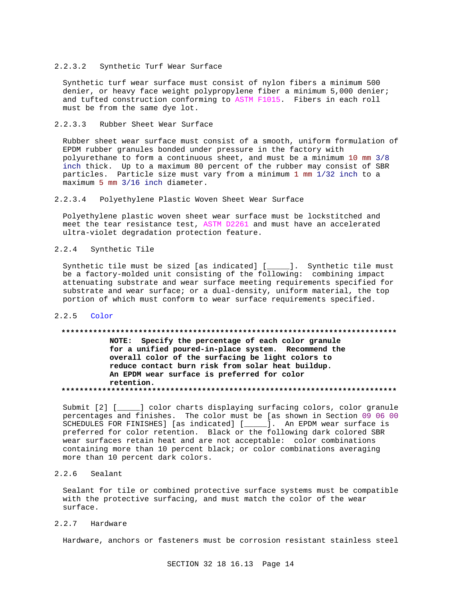#### 2.2.3.2 Synthetic Turf Wear Surface

Synthetic turf wear surface must consist of nylon fibers a minimum 500 denier, or heavy face weight polypropylene fiber a minimum 5,000 denier; and tufted construction conforming to ASTM F1015. Fibers in each roll must be from the same dye lot.

## 2.2.3.3 Rubber Sheet Wear Surface

Rubber sheet wear surface must consist of a smooth, uniform formulation of EPDM rubber granules bonded under pressure in the factory with polyurethane to form a continuous sheet, and must be a minimum 10 mm 3/8 inch thick. Up to a maximum 80 percent of the rubber may consist of SBR particles. Particle size must vary from a minimum 1 mm 1/32 inch to a maximum 5 mm 3/16 inch diameter.

## 2.2.3.4 Polyethylene Plastic Woven Sheet Wear Surface

Polyethylene plastic woven sheet wear surface must be lockstitched and meet the tear resistance test, ASTM D2261 and must have an accelerated ultra-violet degradation protection feature.

# 2.2.4 Synthetic Tile

Synthetic tile must be sized [as indicated] [\_\_\_\_\_]. Synthetic tile must be a factory-molded unit consisting of the following: combining impact attenuating substrate and wear surface meeting requirements specified for substrate and wear surface; or a dual-density, uniform material, the top portion of which must conform to wear surface requirements specified.

## 2.2.5 Color

#### **\*\*\*\*\*\*\*\*\*\*\*\*\*\*\*\*\*\*\*\*\*\*\*\*\*\*\*\*\*\*\*\*\*\*\*\*\*\*\*\*\*\*\*\*\*\*\*\*\*\*\*\*\*\*\*\*\*\*\*\*\*\*\*\*\*\*\*\*\*\*\*\*\*\***

# **NOTE: Specify the percentage of each color granule for a unified poured-in-place system. Recommend the overall color of the surfacing be light colors to reduce contact burn risk from solar heat buildup. An EPDM wear surface is preferred for color retention. \*\*\*\*\*\*\*\*\*\*\*\*\*\*\*\*\*\*\*\*\*\*\*\*\*\*\*\*\*\*\*\*\*\*\*\*\*\*\*\*\*\*\*\*\*\*\*\*\*\*\*\*\*\*\*\*\*\*\*\*\*\*\*\*\*\*\*\*\*\*\*\*\*\***

Submit [2] [\_\_\_\_] color charts displaying surfacing colors, color granule percentages and finishes. The color must be [as shown in Section 09 06 00 SCHEDULES FOR FINISHES] [as indicated] [\_\_\_\_\_]. An EPDM wear surface is preferred for color retention. Black or the following dark colored SBR wear surfaces retain heat and are not acceptable: color combinations containing more than 10 percent black; or color combinations averaging more than 10 percent dark colors.

# 2.2.6 Sealant

Sealant for tile or combined protective surface systems must be compatible with the protective surfacing, and must match the color of the wear surface.

# 2.2.7 Hardware

Hardware, anchors or fasteners must be corrosion resistant stainless steel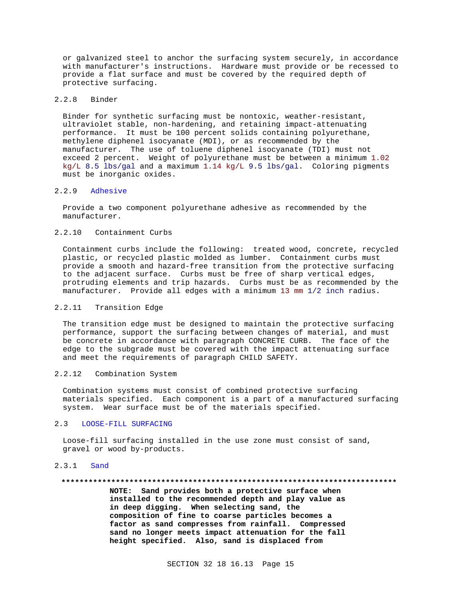or galvanized steel to anchor the surfacing system securely, in accordance with manufacturer's instructions. Hardware must provide or be recessed to provide a flat surface and must be covered by the required depth of protective surfacing.

### 2.2.8 Binder

Binder for synthetic surfacing must be nontoxic, weather-resistant, ultraviolet stable, non-hardening, and retaining impact-attenuating performance. It must be 100 percent solids containing polyurethane, methylene diphenel isocyanate (MDI), or as recommended by the manufacturer. The use of toluene diphenel isocyanate (TDI) must not exceed 2 percent. Weight of polyurethane must be between a minimum 1.02 kg/L 8.5 lbs/gal and a maximum 1.14 kg/L 9.5 lbs/gal. Coloring pigments must be inorganic oxides.

### 2.2.9 Adhesive

Provide a two component polyurethane adhesive as recommended by the manufacturer.

# 2.2.10 Containment Curbs

Containment curbs include the following: treated wood, concrete, recycled plastic, or recycled plastic molded as lumber. Containment curbs must provide a smooth and hazard-free transition from the protective surfacing to the adjacent surface. Curbs must be free of sharp vertical edges, protruding elements and trip hazards. Curbs must be as recommended by the manufacturer. Provide all edges with a minimum 13 mm 1/2 inch radius.

#### 2.2.11 Transition Edge

The transition edge must be designed to maintain the protective surfacing performance, support the surfacing between changes of material, and must be concrete in accordance with paragraph CONCRETE CURB. The face of the edge to the subgrade must be covered with the impact attenuating surface and meet the requirements of paragraph CHILD SAFETY.

## 2.2.12 Combination System

Combination systems must consist of combined protective surfacing materials specified. Each component is a part of a manufactured surfacing system. Wear surface must be of the materials specified.

# 2.3 LOOSE-FILL SURFACING

Loose-fill surfacing installed in the use zone must consist of sand, gravel or wood by-products.

## 2.3.1 Sand

#### **\*\*\*\*\*\*\*\*\*\*\*\*\*\*\*\*\*\*\*\*\*\*\*\*\*\*\*\*\*\*\*\*\*\*\*\*\*\*\*\*\*\*\*\*\*\*\*\*\*\*\*\*\*\*\*\*\*\*\*\*\*\*\*\*\*\*\*\*\*\*\*\*\*\***

**NOTE: Sand provides both a protective surface when installed to the recommended depth and play value as in deep digging. When selecting sand, the composition of fine to coarse particles becomes a factor as sand compresses from rainfall. Compressed sand no longer meets impact attenuation for the fall height specified. Also, sand is displaced from**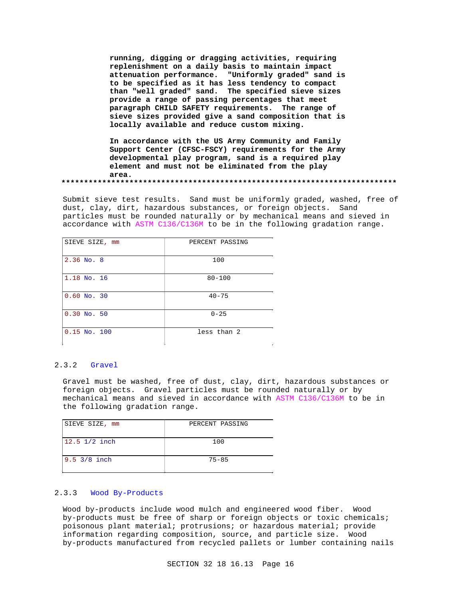**running, digging or dragging activities, requiring replenishment on a daily basis to maintain impact attenuation performance. "Uniformly graded" sand is to be specified as it has less tendency to compact than "well graded" sand. The specified sieve sizes provide a range of passing percentages that meet paragraph CHILD SAFETY requirements. The range of sieve sizes provided give a sand composition that is locally available and reduce custom mixing.**

**In accordance with the US Army Community and Family Support Center (CFSC-FSCY) requirements for the Army developmental play program, sand is a required play element and must not be eliminated from the play area. \*\*\*\*\*\*\*\*\*\*\*\*\*\*\*\*\*\*\*\*\*\*\*\*\*\*\*\*\*\*\*\*\*\*\*\*\*\*\*\*\*\*\*\*\*\*\*\*\*\*\*\*\*\*\*\*\*\*\*\*\*\*\*\*\*\*\*\*\*\*\*\*\*\***

Submit sieve test results. Sand must be uniformly graded, washed, free of dust, clay, dirt, hazardous substances, or foreign objects. Sand particles must be rounded naturally or by mechanical means and sieved in accordance with ASTM C136/C136M to be in the following gradation range.

| SIEVE SIZE, mm   | PERCENT PASSING |
|------------------|-----------------|
| $2.36$ No. 8     | 100             |
| 1.18 No. 16      | $80 - 100$      |
| $0.60$ No. 30    | $40 - 75$       |
| $0.30$ No. 50    | $0 - 25$        |
| $0.15$ No. $100$ | less than 2     |

#### 2.3.2 Gravel

Gravel must be washed, free of dust, clay, dirt, hazardous substances or foreign objects. Gravel particles must be rounded naturally or by mechanical means and sieved in accordance with ASTM C136/C136M to be in the following gradation range.

| SIEVE SIZE, mm         | PERCENT PASSING |
|------------------------|-----------------|
| $12.5$ $1/2$ inch      | 100             |
| $9.5 \frac{3}{8}$ inch | $75 - 85$       |

#### 2.3.3 Wood By-Products

Wood by-products include wood mulch and engineered wood fiber. Wood by-products must be free of sharp or foreign objects or toxic chemicals; poisonous plant material; protrusions; or hazardous material; provide information regarding composition, source, and particle size. Wood by-products manufactured from recycled pallets or lumber containing nails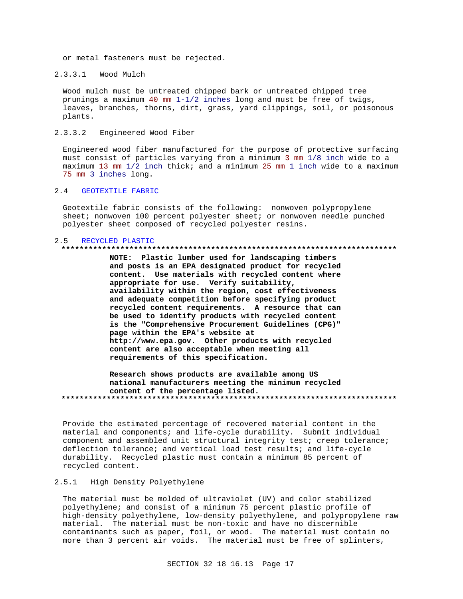or metal fasteners must be rejected.

 $2.3.3.1$ Wood Mulch

Wood mulch must be untreated chipped bark or untreated chipped tree prunings a maximum 40 mm  $1-1/2$  inches long and must be free of twigs, leaves, branches, thorns, dirt, grass, yard clippings, soil, or poisonous plants.

 $2, 3, 3, 2$ Engineered Wood Fiber

Engineered wood fiber manufactured for the purpose of protective surfacing must consist of particles varying from a minimum 3 mm 1/8 inch wide to a maximum 13 mm 1/2 inch thick; and a minimum 25 mm 1 inch wide to a maximum 75 mm 3 inches long.

#### $2.4$ **GEOTEXTILE FABRIC**

Geotextile fabric consists of the following: nonwoven polypropylene sheet; nonwoven 100 percent polyester sheet; or nonwoven needle punched polyester sheet composed of recycled polyester resins.

#### 2.5 RECYCLED PLASTIC

#### 

NOTE: Plastic lumber used for landscaping timbers and posts is an EPA designated product for recycled content. Use materials with recycled content where appropriate for use. Verify suitability, availability within the region, cost effectiveness and adequate competition before specifying product recycled content requirements. A resource that can be used to identify products with recycled content is the "Comprehensive Procurement Guidelines (CPG)" page within the EPA's website at http://www.epa.gov. Other products with recycled content are also acceptable when meeting all requirements of this specification.

Research shows products are available among US national manufacturers meeting the minimum recycled content of the percentage listed. 

Provide the estimated percentage of recovered material content in the material and components; and life-cycle durability. Submit individual component and assembled unit structural integrity test; creep tolerance; deflection tolerance; and vertical load test results; and life-cycle durability. Recycled plastic must contain a minimum 85 percent of recycled content.

#### $2.5.1$ High Density Polyethylene

The material must be molded of ultraviolet (UV) and color stabilized polyethylene; and consist of a minimum 75 percent plastic profile of high-density polyethylene, low-density polyethylene, and polypropylene raw material. The material must be non-toxic and have no discernible contaminants such as paper, foil, or wood. The material must contain no more than 3 percent air voids. The material must be free of splinters,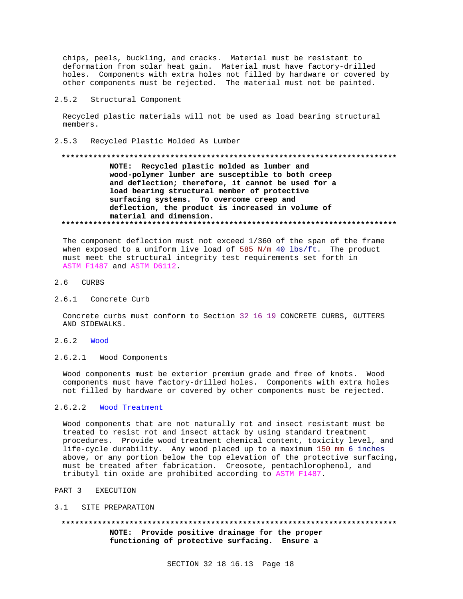chips, peels, buckling, and cracks. Material must be resistant to deformation from solar heat gain. Material must have factory-drilled holes. Components with extra holes not filled by hardware or covered by other components must be rejected. The material must not be painted.

#### $2.5.2$ Structural Component

Recycled plastic materials will not be used as load bearing structural members.

 $2.5.3$ Recycled Plastic Molded As Lumber

# NOTE: Recycled plastic molded as lumber and wood-polymer lumber are susceptible to both creep and deflection; therefore, it cannot be used for a load bearing structural member of protective surfacing systems. To overcome creep and deflection, the product is increased in volume of material and dimension.

The component deflection must not exceed 1/360 of the span of the frame when exposed to a uniform live load of 585 N/m 40 lbs/ft. The product must meet the structural integrity test requirements set forth in ASTM F1487 and ASTM D6112.

# 2.6 CURBS

2.6.1 Concrete Curb

Concrete curbs must conform to Section 32 16 19 CONCRETE CURBS, GUTTERS AND SIDEWALKS.

- 2.6.2 Wood
- $2.6.2.1$ Wood Components

Wood components must be exterior premium grade and free of knots. Wood components must have factory-drilled holes. Components with extra holes not filled by hardware or covered by other components must be rejected.

#### $2.6.2.2$ Wood Treatment

Wood components that are not naturally rot and insect resistant must be treated to resist rot and insect attack by using standard treatment procedures. Provide wood treatment chemical content, toxicity level, and life-cycle durability. Any wood placed up to a maximum 150 mm 6 inches above, or any portion below the top elevation of the protective surfacing, must be treated after fabrication. Creosote, pentachlorophenol, and tributyl tin oxide are prohibited according to ASTM F1487.

PART 3 EXECUTION

#### 3.1 SITE PREPARATION

NOTE: Provide positive drainage for the proper functioning of protective surfacing. Ensure a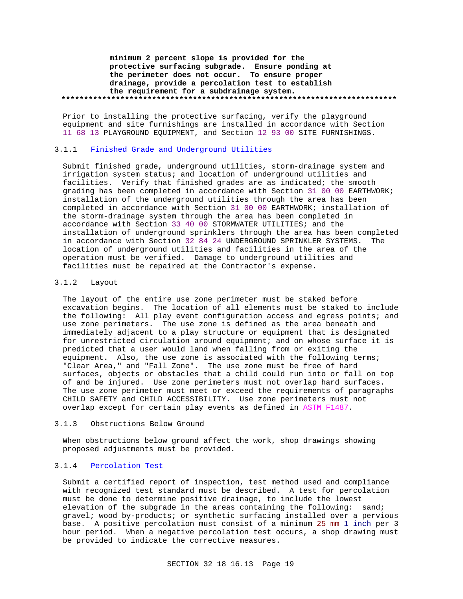**minimum 2 percent slope is provided for the protective surfacing subgrade. Ensure ponding at the perimeter does not occur. To ensure proper drainage, provide a percolation test to establish the requirement for a subdrainage system. \*\*\*\*\*\*\*\*\*\*\*\*\*\*\*\*\*\*\*\*\*\*\*\*\*\*\*\*\*\*\*\*\*\*\*\*\*\*\*\*\*\*\*\*\*\*\*\*\*\*\*\*\*\*\*\*\*\*\*\*\*\*\*\*\*\*\*\*\*\*\*\*\*\***

Prior to installing the protective surfacing, verify the playground equipment and site furnishings are installed in accordance with Section 11 68 13 PLAYGROUND EQUIPMENT, and Section 12 93 00 SITE FURNISHINGS.

## 3.1.1 Finished Grade and Underground Utilities

Submit finished grade, underground utilities, storm-drainage system and irrigation system status; and location of underground utilities and facilities. Verify that finished grades are as indicated; the smooth grading has been completed in accordance with Section 31 00 00 EARTHWORK; installation of the underground utilities through the area has been completed in accordance with Section 31 00 00 EARTHWORK; installation of the storm-drainage system through the area has been completed in accordance with Section 33 40 00 STORMWATER UTILITIES; and the installation of underground sprinklers through the area has been completed in accordance with Section 32 84 24 UNDERGROUND SPRINKLER SYSTEMS. The location of underground utilities and facilities in the area of the operation must be verified. Damage to underground utilities and facilities must be repaired at the Contractor's expense.

### 3.1.2 Layout

The layout of the entire use zone perimeter must be staked before excavation begins. The location of all elements must be staked to include the following: All play event configuration access and egress points; and use zone perimeters. The use zone is defined as the area beneath and immediately adjacent to a play structure or equipment that is designated for unrestricted circulation around equipment; and on whose surface it is predicted that a user would land when falling from or exiting the equipment. Also, the use zone is associated with the following terms; "Clear Area," and "Fall Zone". The use zone must be free of hard surfaces, objects or obstacles that a child could run into or fall on top of and be injured. Use zone perimeters must not overlap hard surfaces. The use zone perimeter must meet or exceed the requirements of paragraphs CHILD SAFETY and CHILD ACCESSIBILITY. Use zone perimeters must not overlap except for certain play events as defined in ASTM F1487.

#### 3.1.3 Obstructions Below Ground

When obstructions below ground affect the work, shop drawings showing proposed adjustments must be provided.

# 3.1.4 Percolation Test

Submit a certified report of inspection, test method used and compliance with recognized test standard must be described. A test for percolation must be done to determine positive drainage, to include the lowest elevation of the subgrade in the areas containing the following: sand; gravel; wood by-products; or synthetic surfacing installed over a pervious base. A positive percolation must consist of a minimum 25 mm 1 inch per 3 hour period. When a negative percolation test occurs, a shop drawing must be provided to indicate the corrective measures.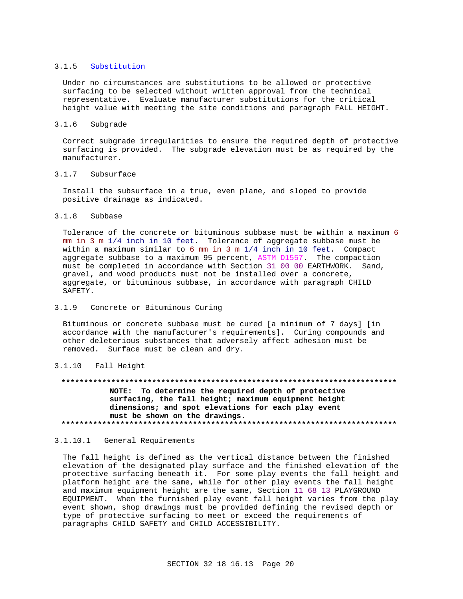#### 3.1.5 Substitution

Under no circumstances are substitutions to be allowed or protective surfacing to be selected without written approval from the technical representative. Evaluate manufacturer substitutions for the critical height value with meeting the site conditions and paragraph FALL HEIGHT.

#### $3.1.6$ Subgrade

Correct subgrade irregularities to ensure the required depth of protective surfacing is provided. The subgrade elevation must be as required by the manufacturer.

#### $3.1.7$ Subsurface

Install the subsurface in a true, even plane, and sloped to provide positive drainage as indicated.

#### $3.1.8$ Subbase

Tolerance of the concrete or bituminous subbase must be within a maximum 6 mm in 3 m 1/4 inch in 10 feet. Tolerance of aggregate subbase must be within a maximum similar to 6 mm in 3 m  $1/4$  inch in 10 feet. Compact aggregate subbase to a maximum 95 percent, ASTM D1557. The compaction must be completed in accordance with Section 31 00 00 EARTHWORK. Sand, gravel, and wood products must not be installed over a concrete, aggregate, or bituminous subbase, in accordance with paragraph CHILD SAFETY.

#### $3.1.9$ Concrete or Bituminous Curing

Bituminous or concrete subbase must be cured [a minimum of 7 days] [in accordance with the manufacturer's requirements]. Curing compounds and other deleterious substances that adversely affect adhesion must be removed. Surface must be clean and dry.

# 3.1.10 Fall Height

# NOTE: To determine the required depth of protective

surfacing, the fall height; maximum equipment height dimensions; and spot elevations for each play event must be shown on the drawings. 

#### 3.1.10.1 General Requirements

The fall height is defined as the vertical distance between the finished elevation of the designated play surface and the finished elevation of the protective surfacing beneath it. For some play events the fall height and platform height are the same, while for other play events the fall height and maximum equipment height are the same, Section 11 68 13 PLAYGROUND EQUIPMENT. When the furnished play event fall height varies from the play event shown, shop drawings must be provided defining the revised depth or type of protective surfacing to meet or exceed the requirements of paragraphs CHILD SAFETY and CHILD ACCESSIBILITY.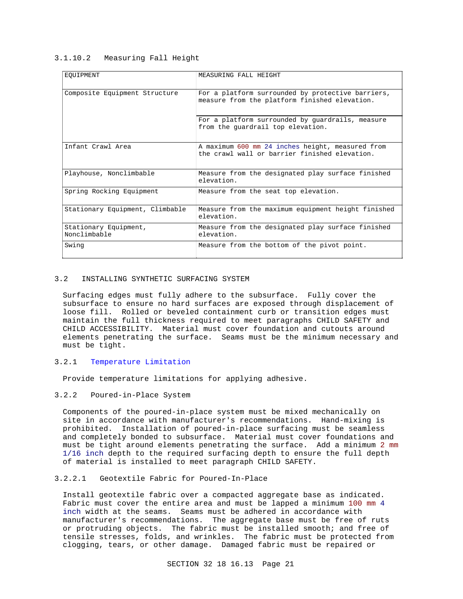## 3.1.10.2 Measuring Fall Height

| EOUIPMENT                             | MEASURING FALL HEIGHT                                                                              |
|---------------------------------------|----------------------------------------------------------------------------------------------------|
| Composite Equipment Structure         | For a platform surrounded by protective barriers,<br>measure from the platform finished elevation. |
|                                       | For a platform surrounded by quardrails, measure<br>from the quardrail top elevation.              |
| Infant Crawl Area                     | A maximum 600 mm 24 inches height, measured from<br>the crawl wall or barrier finished elevation.  |
| Playhouse, Nonclimbable               | Measure from the designated play surface finished<br>elevation.                                    |
| Spring Rocking Equipment              | Measure from the seat top elevation.                                                               |
| Stationary Equipment, Climbable       | Measure from the maximum equipment height finished<br>elevation.                                   |
| Stationary Equipment,<br>Nonclimbable | Measure from the designated play surface finished<br>elevation.                                    |
| Swing                                 | Measure from the bottom of the pivot point.                                                        |

### 3.2 INSTALLING SYNTHETIC SURFACING SYSTEM

Surfacing edges must fully adhere to the subsurface. Fully cover the subsurface to ensure no hard surfaces are exposed through displacement of loose fill. Rolled or beveled containment curb or transition edges must maintain the full thickness required to meet paragraphs CHILD SAFETY and CHILD ACCESSIBILITY. Material must cover foundation and cutouts around elements penetrating the surface. Seams must be the minimum necessary and must be tight.

# 3.2.1 Temperature Limitation

Provide temperature limitations for applying adhesive.

# 3.2.2 Poured-in-Place System

Components of the poured-in-place system must be mixed mechanically on site in accordance with manufacturer's recommendations. Hand-mixing is prohibited. Installation of poured-in-place surfacing must be seamless and completely bonded to subsurface. Material must cover foundations and must be tight around elements penetrating the surface. Add a minimum 2 mm 1/16 inch depth to the required surfacing depth to ensure the full depth of material is installed to meet paragraph CHILD SAFETY.

# 3.2.2.1 Geotextile Fabric for Poured-In-Place

Install geotextile fabric over a compacted aggregate base as indicated. Fabric must cover the entire area and must be lapped a minimum 100 mm 4 inch width at the seams. Seams must be adhered in accordance with manufacturer's recommendations. The aggregate base must be free of ruts or protruding objects. The fabric must be installed smooth; and free of tensile stresses, folds, and wrinkles. The fabric must be protected from clogging, tears, or other damage. Damaged fabric must be repaired or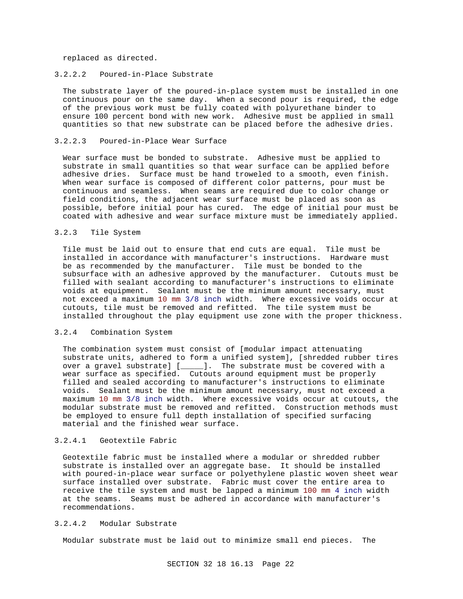replaced as directed.

## 3.2.2.2 Poured-in-Place Substrate

The substrate layer of the poured-in-place system must be installed in one continuous pour on the same day. When a second pour is required, the edge of the previous work must be fully coated with polyurethane binder to ensure 100 percent bond with new work. Adhesive must be applied in small quantities so that new substrate can be placed before the adhesive dries.

## 3.2.2.3 Poured-in-Place Wear Surface

Wear surface must be bonded to substrate. Adhesive must be applied to substrate in small quantities so that wear surface can be applied before adhesive dries. Surface must be hand troweled to a smooth, even finish. When wear surface is composed of different color patterns, pour must be continuous and seamless. When seams are required due to color change or field conditions, the adjacent wear surface must be placed as soon as possible, before initial pour has cured. The edge of initial pour must be coated with adhesive and wear surface mixture must be immediately applied.

#### 3.2.3 Tile System

Tile must be laid out to ensure that end cuts are equal. Tile must be installed in accordance with manufacturer's instructions. Hardware must be as recommended by the manufacturer. Tile must be bonded to the subsurface with an adhesive approved by the manufacturer. Cutouts must be filled with sealant according to manufacturer's instructions to eliminate voids at equipment. Sealant must be the minimum amount necessary, must not exceed a maximum 10 mm 3/8 inch width. Where excessive voids occur at cutouts, tile must be removed and refitted. The tile system must be installed throughout the play equipment use zone with the proper thickness.

## 3.2.4 Combination System

The combination system must consist of [modular impact attenuating substrate units, adhered to form a unified system], [shredded rubber tires over a gravel substrate] [\_\_\_\_\_]. The substrate must be covered with a wear surface as specified. Cutouts around equipment must be properly filled and sealed according to manufacturer's instructions to eliminate voids. Sealant must be the minimum amount necessary, must not exceed a maximum 10 mm 3/8 inch width. Where excessive voids occur at cutouts, the modular substrate must be removed and refitted. Construction methods must be employed to ensure full depth installation of specified surfacing material and the finished wear surface.

### 3.2.4.1 Geotextile Fabric

Geotextile fabric must be installed where a modular or shredded rubber substrate is installed over an aggregate base. It should be installed with poured-in-place wear surface or polyethylene plastic woven sheet wear surface installed over substrate. Fabric must cover the entire area to receive the tile system and must be lapped a minimum 100 mm 4 inch width at the seams. Seams must be adhered in accordance with manufacturer's recommendations.

## 3.2.4.2 Modular Substrate

Modular substrate must be laid out to minimize small end pieces. The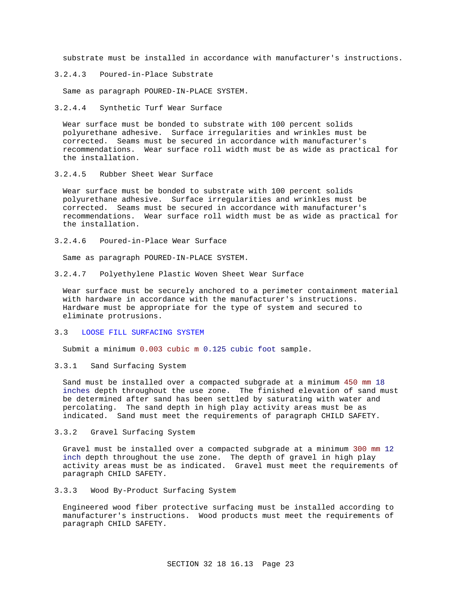substrate must be installed in accordance with manufacturer's instructions.

3.2.4.3 Poured-in-Place Substrate

Same as paragraph POURED-IN-PLACE SYSTEM.

3.2.4.4 Synthetic Turf Wear Surface

Wear surface must be bonded to substrate with 100 percent solids polyurethane adhesive. Surface irregularities and wrinkles must be corrected. Seams must be secured in accordance with manufacturer's recommendations. Wear surface roll width must be as wide as practical for the installation.

3.2.4.5 Rubber Sheet Wear Surface

Wear surface must be bonded to substrate with 100 percent solids polyurethane adhesive. Surface irregularities and wrinkles must be corrected. Seams must be secured in accordance with manufacturer's recommendations. Wear surface roll width must be as wide as practical for the installation.

3.2.4.6 Poured-in-Place Wear Surface

Same as paragraph POURED-IN-PLACE SYSTEM.

3.2.4.7 Polyethylene Plastic Woven Sheet Wear Surface

Wear surface must be securely anchored to a perimeter containment material with hardware in accordance with the manufacturer's instructions. Hardware must be appropriate for the type of system and secured to eliminate protrusions.

#### 3.3 LOOSE FILL SURFACING SYSTEM

Submit a minimum 0.003 cubic m 0.125 cubic foot sample.

3.3.1 Sand Surfacing System

Sand must be installed over a compacted subgrade at a minimum 450 mm 18 inches depth throughout the use zone. The finished elevation of sand must be determined after sand has been settled by saturating with water and percolating. The sand depth in high play activity areas must be as indicated. Sand must meet the requirements of paragraph CHILD SAFETY.

3.3.2 Gravel Surfacing System

Gravel must be installed over a compacted subgrade at a minimum 300 mm 12 inch depth throughout the use zone. The depth of gravel in high play activity areas must be as indicated. Gravel must meet the requirements of paragraph CHILD SAFETY.

3.3.3 Wood By-Product Surfacing System

Engineered wood fiber protective surfacing must be installed according to manufacturer's instructions. Wood products must meet the requirements of paragraph CHILD SAFETY.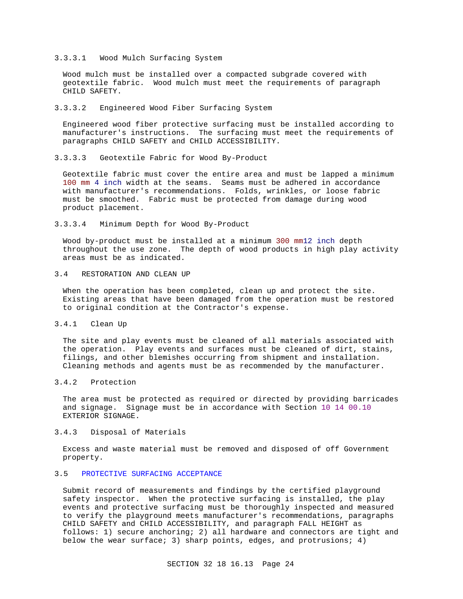#### 3.3.3.1 Wood Mulch Surfacing System

Wood mulch must be installed over a compacted subgrade covered with geotextile fabric. Wood mulch must meet the requirements of paragraph CHILD SAFETY.

#### 3.3.3.2 Engineered Wood Fiber Surfacing System

Engineered wood fiber protective surfacing must be installed according to manufacturer's instructions. The surfacing must meet the requirements of paragraphs CHILD SAFETY and CHILD ACCESSIBILITY.

3.3.3.3 Geotextile Fabric for Wood By-Product

Geotextile fabric must cover the entire area and must be lapped a minimum 100 mm 4 inch width at the seams. Seams must be adhered in accordance with manufacturer's recommendations. Folds, wrinkles, or loose fabric must be smoothed. Fabric must be protected from damage during wood product placement.

3.3.3.4 Minimum Depth for Wood By-Product

Wood by-product must be installed at a minimum 300 mm12 inch depth throughout the use zone. The depth of wood products in high play activity areas must be as indicated.

# 3.4 RESTORATION AND CLEAN UP

When the operation has been completed, clean up and protect the site. Existing areas that have been damaged from the operation must be restored to original condition at the Contractor's expense.

## 3.4.1 Clean Up

The site and play events must be cleaned of all materials associated with the operation. Play events and surfaces must be cleaned of dirt, stains, filings, and other blemishes occurring from shipment and installation. Cleaning methods and agents must be as recommended by the manufacturer.

# 3.4.2 Protection

The area must be protected as required or directed by providing barricades and signage. Signage must be in accordance with Section 10 14 00.10 EXTERIOR SIGNAGE.

# 3.4.3 Disposal of Materials

Excess and waste material must be removed and disposed of off Government property.

# 3.5 PROTECTIVE SURFACING ACCEPTANCE

Submit record of measurements and findings by the certified playground safety inspector. When the protective surfacing is installed, the play events and protective surfacing must be thoroughly inspected and measured to verify the playground meets manufacturer's recommendations, paragraphs CHILD SAFETY and CHILD ACCESSIBILITY, and paragraph FALL HEIGHT as follows: 1) secure anchoring; 2) all hardware and connectors are tight and below the wear surface; 3) sharp points, edges, and protrusions; 4)